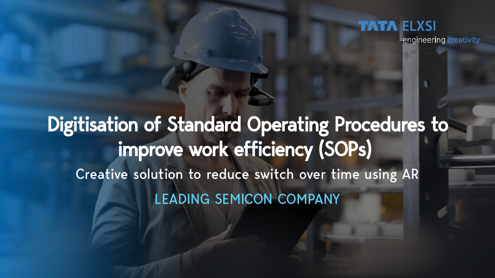engineering creativity

# Digitisation of Standard Operating Procedures to improve work efficiency (SOPs) Creative solution to reduce switch over time using AR LEADING SEMICON COMPANY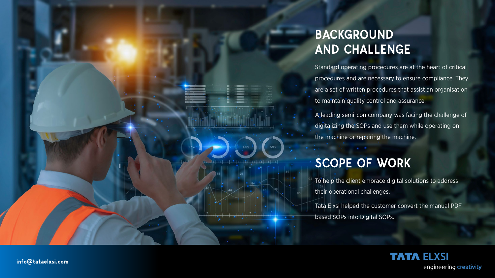## BACKGROUND AND CHALLENGE

Standard operating procedures are at the heart of critical procedures and are necessary to ensure compliance. They are a set of written procedures that assist an organisation to maintain quality control and assurance.

A leading semi-con company was facing the challenge of digitalizing the SOPs and use them while operating on the machine or repairing the machine.

### SCOPE OF WORK

To help the client embrace digital solutions to address their operational challenges.

Tata Elxsi helped the customer convert the manual PDF based SOPs into Digital SOPs.